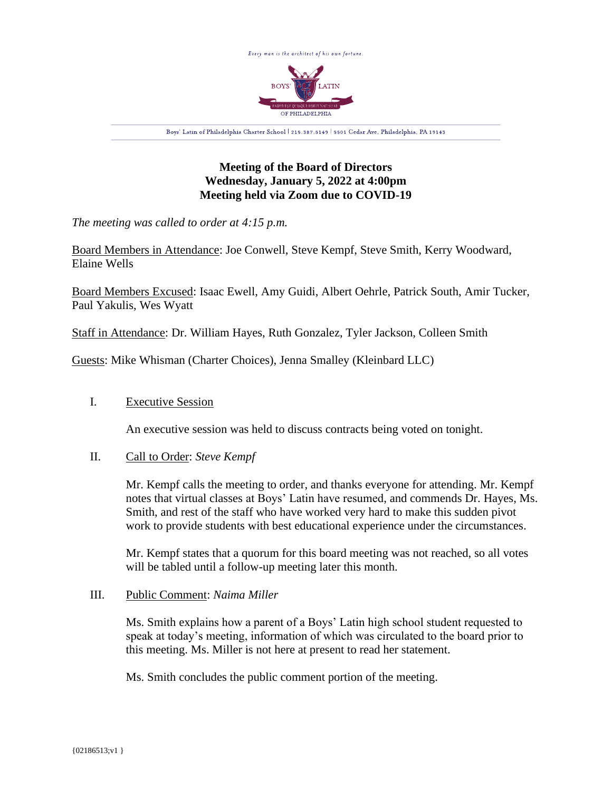

# **Meeting of the Board of Directors Wednesday, January 5, 2022 at 4:00pm Meeting held via Zoom due to COVID-19**

*The meeting was called to order at 4:15 p.m.*

Board Members in Attendance: Joe Conwell, Steve Kempf, Steve Smith, Kerry Woodward, Elaine Wells

Board Members Excused: Isaac Ewell, Amy Guidi, Albert Oehrle, Patrick South, Amir Tucker, Paul Yakulis, Wes Wyatt

Staff in Attendance: Dr. William Hayes, Ruth Gonzalez, Tyler Jackson, Colleen Smith

Guests: Mike Whisman (Charter Choices), Jenna Smalley (Kleinbard LLC)

## I. Executive Session

An executive session was held to discuss contracts being voted on tonight.

### II. Call to Order: *Steve Kempf*

Mr. Kempf calls the meeting to order, and thanks everyone for attending. Mr. Kempf notes that virtual classes at Boys' Latin have resumed, and commends Dr. Hayes, Ms. Smith, and rest of the staff who have worked very hard to make this sudden pivot work to provide students with best educational experience under the circumstances.

Mr. Kempf states that a quorum for this board meeting was not reached, so all votes will be tabled until a follow-up meeting later this month.

### III. Public Comment: *Naima Miller*

Ms. Smith explains how a parent of a Boys' Latin high school student requested to speak at today's meeting, information of which was circulated to the board prior to this meeting. Ms. Miller is not here at present to read her statement.

Ms. Smith concludes the public comment portion of the meeting.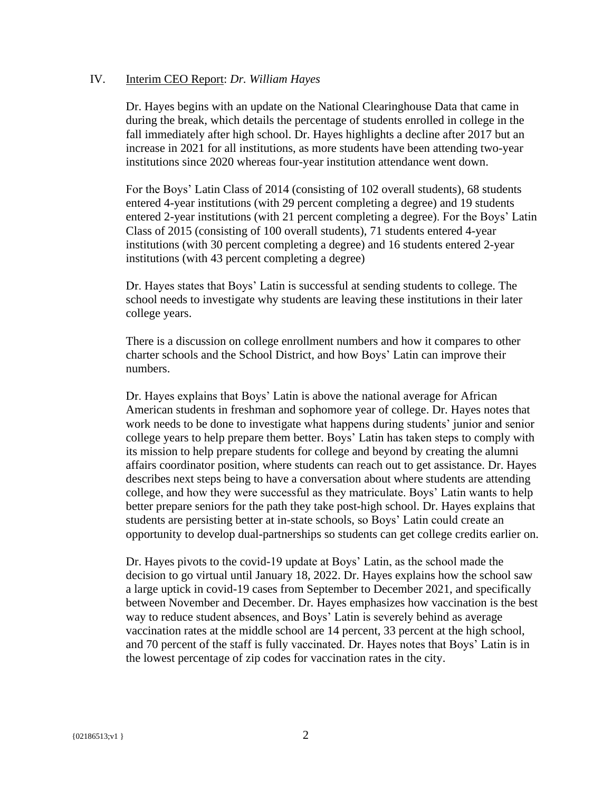### IV. Interim CEO Report: *Dr. William Hayes*

Dr. Hayes begins with an update on the National Clearinghouse Data that came in during the break, which details the percentage of students enrolled in college in the fall immediately after high school. Dr. Hayes highlights a decline after 2017 but an increase in 2021 for all institutions, as more students have been attending two-year institutions since 2020 whereas four-year institution attendance went down.

For the Boys' Latin Class of 2014 (consisting of 102 overall students), 68 students entered 4-year institutions (with 29 percent completing a degree) and 19 students entered 2-year institutions (with 21 percent completing a degree). For the Boys' Latin Class of 2015 (consisting of 100 overall students), 71 students entered 4-year institutions (with 30 percent completing a degree) and 16 students entered 2-year institutions (with 43 percent completing a degree)

Dr. Hayes states that Boys' Latin is successful at sending students to college. The school needs to investigate why students are leaving these institutions in their later college years.

There is a discussion on college enrollment numbers and how it compares to other charter schools and the School District, and how Boys' Latin can improve their numbers.

Dr. Hayes explains that Boys' Latin is above the national average for African American students in freshman and sophomore year of college. Dr. Hayes notes that work needs to be done to investigate what happens during students' junior and senior college years to help prepare them better. Boys' Latin has taken steps to comply with its mission to help prepare students for college and beyond by creating the alumni affairs coordinator position, where students can reach out to get assistance. Dr. Hayes describes next steps being to have a conversation about where students are attending college, and how they were successful as they matriculate. Boys' Latin wants to help better prepare seniors for the path they take post-high school. Dr. Hayes explains that students are persisting better at in-state schools, so Boys' Latin could create an opportunity to develop dual-partnerships so students can get college credits earlier on.

Dr. Hayes pivots to the covid-19 update at Boys' Latin, as the school made the decision to go virtual until January 18, 2022. Dr. Hayes explains how the school saw a large uptick in covid-19 cases from September to December 2021, and specifically between November and December. Dr. Hayes emphasizes how vaccination is the best way to reduce student absences, and Boys' Latin is severely behind as average vaccination rates at the middle school are 14 percent, 33 percent at the high school, and 70 percent of the staff is fully vaccinated. Dr. Hayes notes that Boys' Latin is in the lowest percentage of zip codes for vaccination rates in the city.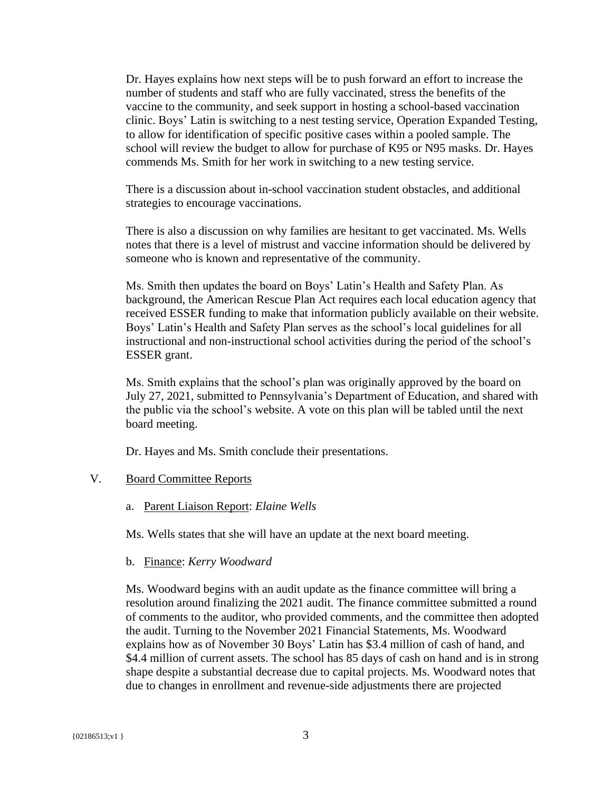Dr. Hayes explains how next steps will be to push forward an effort to increase the number of students and staff who are fully vaccinated, stress the benefits of the vaccine to the community, and seek support in hosting a school-based vaccination clinic. Boys' Latin is switching to a nest testing service, Operation Expanded Testing, to allow for identification of specific positive cases within a pooled sample. The school will review the budget to allow for purchase of K95 or N95 masks. Dr. Hayes commends Ms. Smith for her work in switching to a new testing service.

There is a discussion about in-school vaccination student obstacles, and additional strategies to encourage vaccinations.

There is also a discussion on why families are hesitant to get vaccinated. Ms. Wells notes that there is a level of mistrust and vaccine information should be delivered by someone who is known and representative of the community.

Ms. Smith then updates the board on Boys' Latin's Health and Safety Plan. As background, the American Rescue Plan Act requires each local education agency that received ESSER funding to make that information publicly available on their website. Boys' Latin's Health and Safety Plan serves as the school's local guidelines for all instructional and non-instructional school activities during the period of the school's ESSER grant.

Ms. Smith explains that the school's plan was originally approved by the board on July 27, 2021, submitted to Pennsylvania's Department of Education, and shared with the public via the school's website. A vote on this plan will be tabled until the next board meeting.

Dr. Hayes and Ms. Smith conclude their presentations.

### V. Board Committee Reports

### a. Parent Liaison Report: *Elaine Wells*

Ms. Wells states that she will have an update at the next board meeting.

#### b. Finance: *Kerry Woodward*

Ms. Woodward begins with an audit update as the finance committee will bring a resolution around finalizing the 2021 audit. The finance committee submitted a round of comments to the auditor, who provided comments, and the committee then adopted the audit. Turning to the November 2021 Financial Statements, Ms. Woodward explains how as of November 30 Boys' Latin has \$3.4 million of cash of hand, and \$4.4 million of current assets. The school has 85 days of cash on hand and is in strong shape despite a substantial decrease due to capital projects. Ms. Woodward notes that due to changes in enrollment and revenue-side adjustments there are projected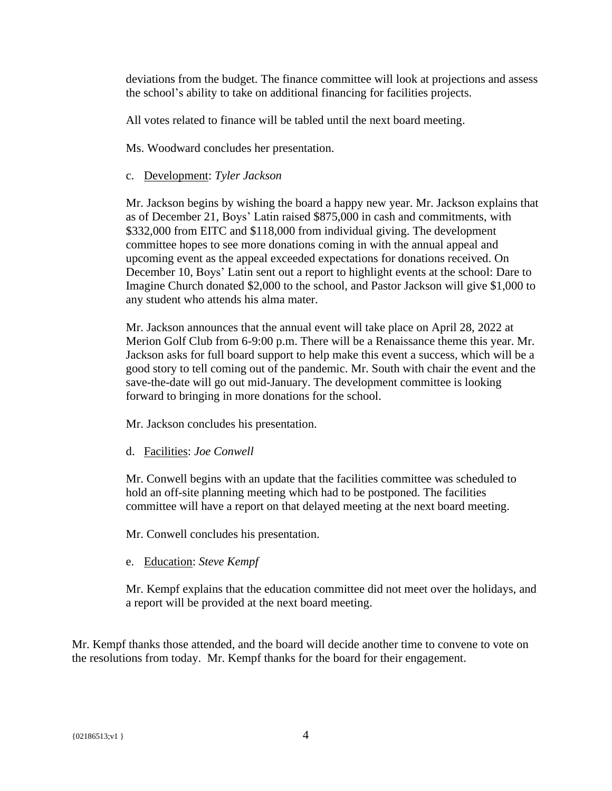deviations from the budget. The finance committee will look at projections and assess the school's ability to take on additional financing for facilities projects.

All votes related to finance will be tabled until the next board meeting.

Ms. Woodward concludes her presentation.

## c. Development: *Tyler Jackson*

Mr. Jackson begins by wishing the board a happy new year. Mr. Jackson explains that as of December 21, Boys' Latin raised \$875,000 in cash and commitments, with \$332,000 from EITC and \$118,000 from individual giving. The development committee hopes to see more donations coming in with the annual appeal and upcoming event as the appeal exceeded expectations for donations received. On December 10, Boys' Latin sent out a report to highlight events at the school: Dare to Imagine Church donated \$2,000 to the school, and Pastor Jackson will give \$1,000 to any student who attends his alma mater.

Mr. Jackson announces that the annual event will take place on April 28, 2022 at Merion Golf Club from 6-9:00 p.m. There will be a Renaissance theme this year. Mr. Jackson asks for full board support to help make this event a success, which will be a good story to tell coming out of the pandemic. Mr. South with chair the event and the save-the-date will go out mid-January. The development committee is looking forward to bringing in more donations for the school.

Mr. Jackson concludes his presentation.

d. Facilities: *Joe Conwell*

Mr. Conwell begins with an update that the facilities committee was scheduled to hold an off-site planning meeting which had to be postponed. The facilities committee will have a report on that delayed meeting at the next board meeting.

Mr. Conwell concludes his presentation.

e. Education: *Steve Kempf*

Mr. Kempf explains that the education committee did not meet over the holidays, and a report will be provided at the next board meeting.

Mr. Kempf thanks those attended, and the board will decide another time to convene to vote on the resolutions from today. Mr. Kempf thanks for the board for their engagement.